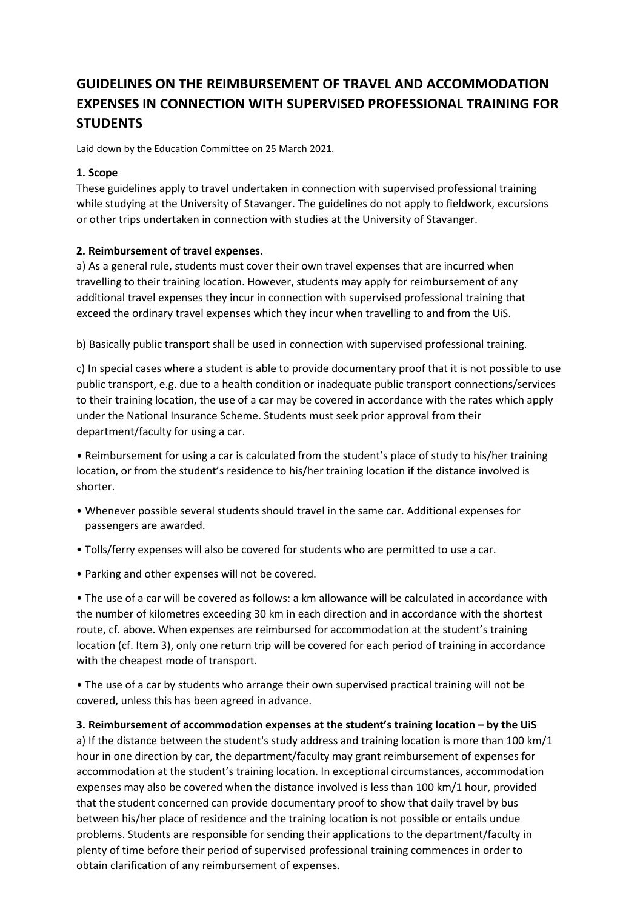# **GUIDELINES ON THE REIMBURSEMENT OF TRAVEL AND ACCOMMODATION EXPENSES IN CONNECTION WITH SUPERVISED PROFESSIONAL TRAINING FOR STUDENTS**

Laid down by the Education Committee on 25 March 2021.

# **1. Scope**

These guidelines apply to travel undertaken in connection with supervised professional training while studying at the University of Stavanger. The guidelines do not apply to fieldwork, excursions or other trips undertaken in connection with studies at the University of Stavanger.

# **2. Reimbursement of travel expenses.**

a) As a general rule, students must cover their own travel expenses that are incurred when travelling to their training location. However, students may apply for reimbursement of any additional travel expenses they incur in connection with supervised professional training that exceed the ordinary travel expenses which they incur when travelling to and from the UiS.

b) Basically public transport shall be used in connection with supervised professional training.

c) In special cases where a student is able to provide documentary proof that it is not possible to use public transport, e.g. due to a health condition or inadequate public transport connections/services to their training location, the use of a car may be covered in accordance with the rates which apply under the National Insurance Scheme. Students must seek prior approval from their department/faculty for using a car.

• Reimbursement for using a car is calculated from the student's place of study to his/her training location, or from the student's residence to his/her training location if the distance involved is shorter.

- Whenever possible several students should travel in the same car. Additional expenses for passengers are awarded.
- Tolls/ferry expenses will also be covered for students who are permitted to use a car.
- Parking and other expenses will not be covered.

• The use of a car will be covered as follows: a km allowance will be calculated in accordance with the number of kilometres exceeding 30 km in each direction and in accordance with the shortest route, cf. above. When expenses are reimbursed for accommodation at the student's training location (cf. Item 3), only one return trip will be covered for each period of training in accordance with the cheapest mode of transport.

• The use of a car by students who arrange their own supervised practical training will not be covered, unless this has been agreed in advance.

### **3. Reimbursement of accommodation expenses at the student's training location – by the UiS**

a) If the distance between the student's study address and training location is more than 100 km/1 hour in one direction by car, the department/faculty may grant reimbursement of expenses for accommodation at the student's training location. In exceptional circumstances, accommodation expenses may also be covered when the distance involved is less than 100 km/1 hour, provided that the student concerned can provide documentary proof to show that daily travel by bus between his/her place of residence and the training location is not possible or entails undue problems. Students are responsible for sending their applications to the department/faculty in plenty of time before their period of supervised professional training commences in order to obtain clarification of any reimbursement of expenses.